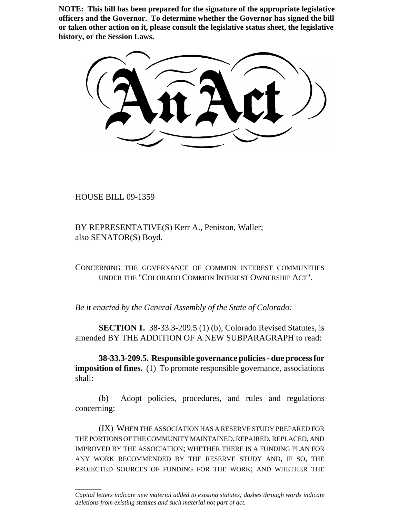**NOTE: This bill has been prepared for the signature of the appropriate legislative officers and the Governor. To determine whether the Governor has signed the bill or taken other action on it, please consult the legislative status sheet, the legislative history, or the Session Laws.**

HOUSE BILL 09-1359

\_\_\_\_\_\_\_\_

BY REPRESENTATIVE(S) Kerr A., Peniston, Waller; also SENATOR(S) Boyd.

CONCERNING THE GOVERNANCE OF COMMON INTEREST COMMUNITIES UNDER THE "COLORADO COMMON INTEREST OWNERSHIP ACT".

*Be it enacted by the General Assembly of the State of Colorado:*

**SECTION 1.** 38-33.3-209.5 (1) (b), Colorado Revised Statutes, is amended BY THE ADDITION OF A NEW SUBPARAGRAPH to read:

**38-33.3-209.5. Responsible governance policies - due process for imposition of fines.** (1) To promote responsible governance, associations shall:

(b) Adopt policies, procedures, and rules and regulations concerning:

(IX) WHEN THE ASSOCIATION HAS A RESERVE STUDY PREPARED FOR THE PORTIONS OF THE COMMUNITY MAINTAINED, REPAIRED, REPLACED, AND IMPROVED BY THE ASSOCIATION; WHETHER THERE IS A FUNDING PLAN FOR ANY WORK RECOMMENDED BY THE RESERVE STUDY AND, IF SO, THE PROJECTED SOURCES OF FUNDING FOR THE WORK; AND WHETHER THE

*Capital letters indicate new material added to existing statutes; dashes through words indicate deletions from existing statutes and such material not part of act.*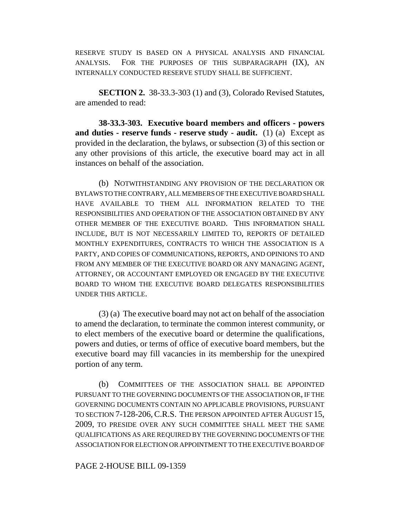RESERVE STUDY IS BASED ON A PHYSICAL ANALYSIS AND FINANCIAL ANALYSIS. FOR THE PURPOSES OF THIS SUBPARAGRAPH (IX), AN INTERNALLY CONDUCTED RESERVE STUDY SHALL BE SUFFICIENT.

**SECTION 2.** 38-33.3-303 (1) and (3), Colorado Revised Statutes, are amended to read:

**38-33.3-303. Executive board members and officers - powers and duties - reserve funds - reserve study - audit.** (1) (a) Except as provided in the declaration, the bylaws, or subsection (3) of this section or any other provisions of this article, the executive board may act in all instances on behalf of the association.

(b) NOTWITHSTANDING ANY PROVISION OF THE DECLARATION OR BYLAWS TO THE CONTRARY, ALL MEMBERS OF THE EXECUTIVE BOARD SHALL HAVE AVAILABLE TO THEM ALL INFORMATION RELATED TO THE RESPONSIBILITIES AND OPERATION OF THE ASSOCIATION OBTAINED BY ANY OTHER MEMBER OF THE EXECUTIVE BOARD. THIS INFORMATION SHALL INCLUDE, BUT IS NOT NECESSARILY LIMITED TO, REPORTS OF DETAILED MONTHLY EXPENDITURES, CONTRACTS TO WHICH THE ASSOCIATION IS A PARTY, AND COPIES OF COMMUNICATIONS, REPORTS, AND OPINIONS TO AND FROM ANY MEMBER OF THE EXECUTIVE BOARD OR ANY MANAGING AGENT, ATTORNEY, OR ACCOUNTANT EMPLOYED OR ENGAGED BY THE EXECUTIVE BOARD TO WHOM THE EXECUTIVE BOARD DELEGATES RESPONSIBILITIES UNDER THIS ARTICLE.

(3) (a) The executive board may not act on behalf of the association to amend the declaration, to terminate the common interest community, or to elect members of the executive board or determine the qualifications, powers and duties, or terms of office of executive board members, but the executive board may fill vacancies in its membership for the unexpired portion of any term.

(b) COMMITTEES OF THE ASSOCIATION SHALL BE APPOINTED PURSUANT TO THE GOVERNING DOCUMENTS OF THE ASSOCIATION OR, IF THE GOVERNING DOCUMENTS CONTAIN NO APPLICABLE PROVISIONS, PURSUANT TO SECTION 7-128-206,C.R.S. THE PERSON APPOINTED AFTER AUGUST 15, 2009, TO PRESIDE OVER ANY SUCH COMMITTEE SHALL MEET THE SAME QUALIFICATIONS AS ARE REQUIRED BY THE GOVERNING DOCUMENTS OF THE ASSOCIATION FOR ELECTION OR APPOINTMENT TO THE EXECUTIVE BOARD OF

## PAGE 2-HOUSE BILL 09-1359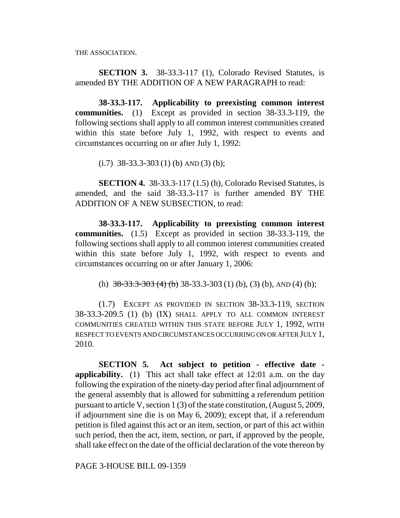THE ASSOCIATION.

**SECTION 3.** 38-33.3-117 (1), Colorado Revised Statutes, is amended BY THE ADDITION OF A NEW PARAGRAPH to read:

**38-33.3-117. Applicability to preexisting common interest communities.** (1) Except as provided in section 38-33.3-119, the following sections shall apply to all common interest communities created within this state before July 1, 1992, with respect to events and circumstances occurring on or after July 1, 1992:

 $(i.7)$  38-33.3-303 (1) (b) AND (3) (b);

**SECTION 4.** 38-33.3-117 (1.5) (h), Colorado Revised Statutes, is amended, and the said 38-33.3-117 is further amended BY THE ADDITION OF A NEW SUBSECTION, to read:

**38-33.3-117. Applicability to preexisting common interest communities.** (1.5) Except as provided in section 38-33.3-119, the following sections shall apply to all common interest communities created within this state before July 1, 1992, with respect to events and circumstances occurring on or after January 1, 2006:

(h)  $38-33.3-303$  (4) (b) 38-33.3-303 (1) (b), (3) (b), AND (4) (b);

(1.7) EXCEPT AS PROVIDED IN SECTION 38-33.3-119, SECTION 38-33.3-209.5 (1) (b) (IX) SHALL APPLY TO ALL COMMON INTEREST COMMUNITIES CREATED WITHIN THIS STATE BEFORE JULY 1, 1992, WITH RESPECT TO EVENTS AND CIRCUMSTANCES OCCURRING ON OR AFTER JULY 1, 2010.

**SECTION 5. Act subject to petition - effective date applicability.** (1) This act shall take effect at 12:01 a.m. on the day following the expiration of the ninety-day period after final adjournment of the general assembly that is allowed for submitting a referendum petition pursuant to article V, section 1 (3) of the state constitution, (August 5, 2009, if adjournment sine die is on May 6, 2009); except that, if a referendum petition is filed against this act or an item, section, or part of this act within such period, then the act, item, section, or part, if approved by the people, shall take effect on the date of the official declaration of the vote thereon by

PAGE 3-HOUSE BILL 09-1359